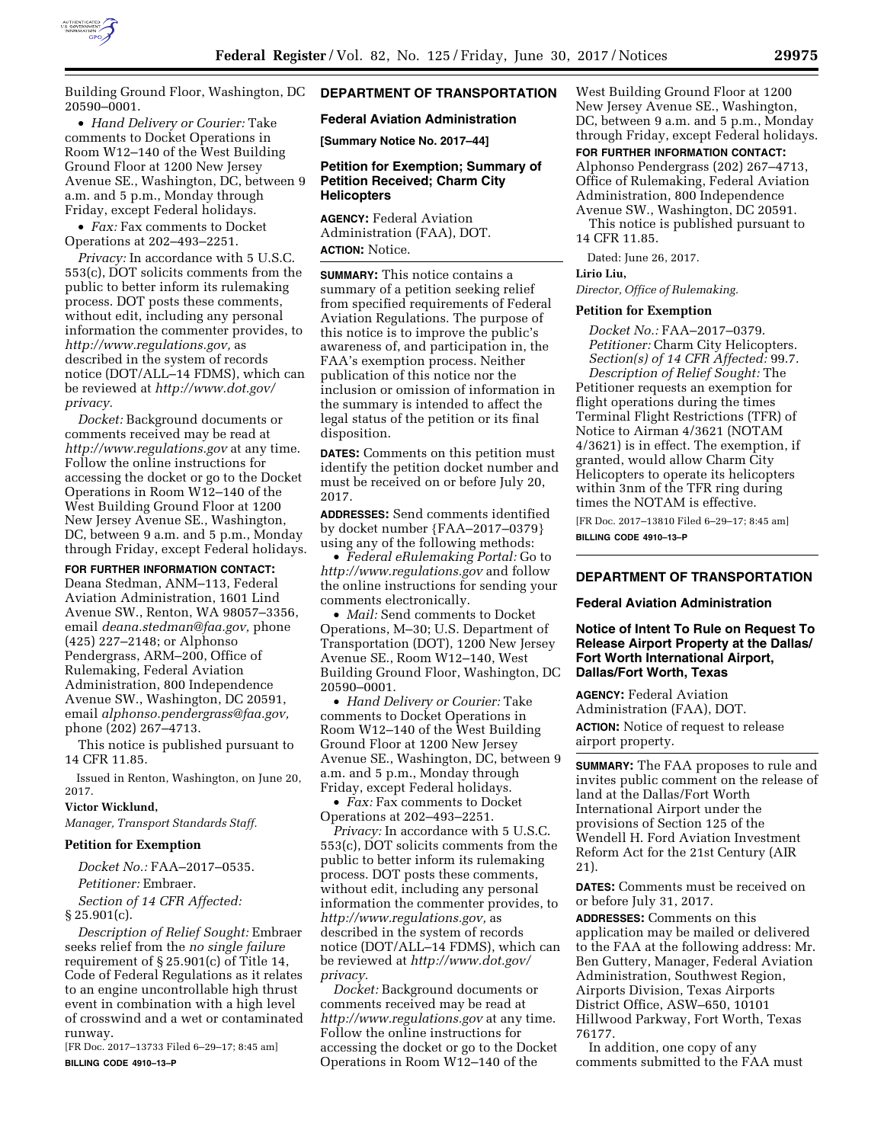

Building Ground Floor, Washington, DC 20590–0001.

• *Hand Delivery or Courier:* Take comments to Docket Operations in Room W12–140 of the West Building Ground Floor at 1200 New Jersey Avenue SE., Washington, DC, between 9 a.m. and 5 p.m., Monday through Friday, except Federal holidays.

• *Fax:* Fax comments to Docket Operations at 202–493–2251.

*Privacy:* In accordance with 5 U.S.C. 553(c), DOT solicits comments from the public to better inform its rulemaking process. DOT posts these comments, without edit, including any personal information the commenter provides, to *[http://www.regulations.gov,](http://www.regulations.gov)* as described in the system of records notice (DOT/ALL–14 FDMS), which can be reviewed at *[http://www.dot.gov/](http://www.dot.gov/privacy)  [privacy.](http://www.dot.gov/privacy)* 

*Docket:* Background documents or comments received may be read at *<http://www.regulations.gov>* at any time. Follow the online instructions for accessing the docket or go to the Docket Operations in Room W12–140 of the West Building Ground Floor at 1200 New Jersey Avenue SE., Washington, DC, between 9 a.m. and 5 p.m., Monday through Friday, except Federal holidays.

**FOR FURTHER INFORMATION CONTACT:**  Deana Stedman, ANM–113, Federal Aviation Administration, 1601 Lind Avenue SW., Renton, WA 98057–3356, email *[deana.stedman@faa.gov,](mailto:deana.stedman@faa.gov)* phone (425) 227–2148; or Alphonso Pendergrass, ARM–200, Office of Rulemaking, Federal Aviation Administration, 800 Independence Avenue SW., Washington, DC 20591, email *[alphonso.pendergrass@faa.gov,](mailto:alphonso.pendergrass@faa.gov)*  phone (202) 267–4713.

This notice is published pursuant to 14 CFR 11.85.

Issued in Renton, Washington, on June 20, 2017.

## **Victor Wicklund,**

*Manager, Transport Standards Staff.* 

#### **Petition for Exemption**

*Docket No.:* FAA–2017–0535. *Petitioner:* Embraer. *Section of 14 CFR Affected:* 

 $§ 25.901(c).$ 

*Description of Relief Sought:* Embraer seeks relief from the *no single failure*  requirement of § 25.901(c) of Title 14, Code of Federal Regulations as it relates to an engine uncontrollable high thrust event in combination with a high level of crosswind and a wet or contaminated runway.

[FR Doc. 2017–13733 Filed 6–29–17; 8:45 am] **BILLING CODE 4910–13–P** 

# **DEPARTMENT OF TRANSPORTATION**

#### **Federal Aviation Administration**

**[Summary Notice No. 2017–44]** 

## **Petition for Exemption; Summary of Petition Received; Charm City Helicopters**

**AGENCY:** Federal Aviation Administration (FAA), DOT. **ACTION:** Notice.

**SUMMARY:** This notice contains a summary of a petition seeking relief from specified requirements of Federal Aviation Regulations. The purpose of this notice is to improve the public's awareness of, and participation in, the FAA's exemption process. Neither publication of this notice nor the inclusion or omission of information in the summary is intended to affect the legal status of the petition or its final disposition.

**DATES:** Comments on this petition must identify the petition docket number and must be received on or before July 20, 2017.

**ADDRESSES:** Send comments identified by docket number {FAA–2017–0379} using any of the following methods:

• *Federal eRulemaking Portal:* Go to *<http://www.regulations.gov>* and follow the online instructions for sending your comments electronically.

• *Mail:* Send comments to Docket Operations, M–30; U.S. Department of Transportation (DOT), 1200 New Jersey Avenue SE., Room W12–140, West Building Ground Floor, Washington, DC 20590–0001.

• *Hand Delivery or Courier:* Take comments to Docket Operations in Room W12–140 of the West Building Ground Floor at 1200 New Jersey Avenue SE., Washington, DC, between 9 a.m. and 5 p.m., Monday through Friday, except Federal holidays.

• *Fax:* Fax comments to Docket Operations at 202–493–2251.

*Privacy:* In accordance with 5 U.S.C. 553(c), DOT solicits comments from the public to better inform its rulemaking process. DOT posts these comments, without edit, including any personal information the commenter provides, to *[http://www.regulations.gov,](http://www.regulations.gov)* as described in the system of records notice (DOT/ALL–14 FDMS), which can be reviewed at *[http://www.dot.gov/](http://www.dot.gov/privacy)  [privacy.](http://www.dot.gov/privacy)* 

*Docket:* Background documents or comments received may be read at *<http://www.regulations.gov>* at any time. Follow the online instructions for accessing the docket or go to the Docket Operations in Room W12–140 of the

West Building Ground Floor at 1200 New Jersey Avenue SE., Washington, DC, between 9 a.m. and 5 p.m., Monday through Friday, except Federal holidays.

**FOR FURTHER INFORMATION CONTACT:**  Alphonso Pendergrass (202) 267–4713, Office of Rulemaking, Federal Aviation Administration, 800 Independence Avenue SW., Washington, DC 20591.

This notice is published pursuant to 14 CFR 11.85.

Dated: June 26, 2017.

#### **Lirio Liu,**

*Director, Office of Rulemaking.* 

#### **Petition for Exemption**

*Docket No.:* FAA–2017–0379. *Petitioner:* Charm City Helicopters. *Section(s) of 14 CFR Affected:* 99.7. *Description of Relief Sought:* The Petitioner requests an exemption for flight operations during the times Terminal Flight Restrictions (TFR) of Notice to Airman 4/3621 (NOTAM 4/3621) is in effect. The exemption, if granted, would allow Charm City Helicopters to operate its helicopters within 3nm of the TFR ring during times the NOTAM is effective.

[FR Doc. 2017–13810 Filed 6–29–17; 8:45 am] **BILLING CODE 4910–13–P** 

# **DEPARTMENT OF TRANSPORTATION**

# **Federal Aviation Administration**

## **Notice of Intent To Rule on Request To Release Airport Property at the Dallas/ Fort Worth International Airport, Dallas/Fort Worth, Texas**

**AGENCY:** Federal Aviation Administration (FAA), DOT. **ACTION:** Notice of request to release airport property.

**SUMMARY:** The FAA proposes to rule and invites public comment on the release of land at the Dallas/Fort Worth International Airport under the provisions of Section 125 of the Wendell H. Ford Aviation Investment Reform Act for the 21st Century (AIR 21).

**DATES:** Comments must be received on or before July 31, 2017.

**ADDRESSES:** Comments on this application may be mailed or delivered to the FAA at the following address: Mr. Ben Guttery, Manager, Federal Aviation Administration, Southwest Region, Airports Division, Texas Airports District Office, ASW–650, 10101 Hillwood Parkway, Fort Worth, Texas 76177.

In addition, one copy of any comments submitted to the FAA must